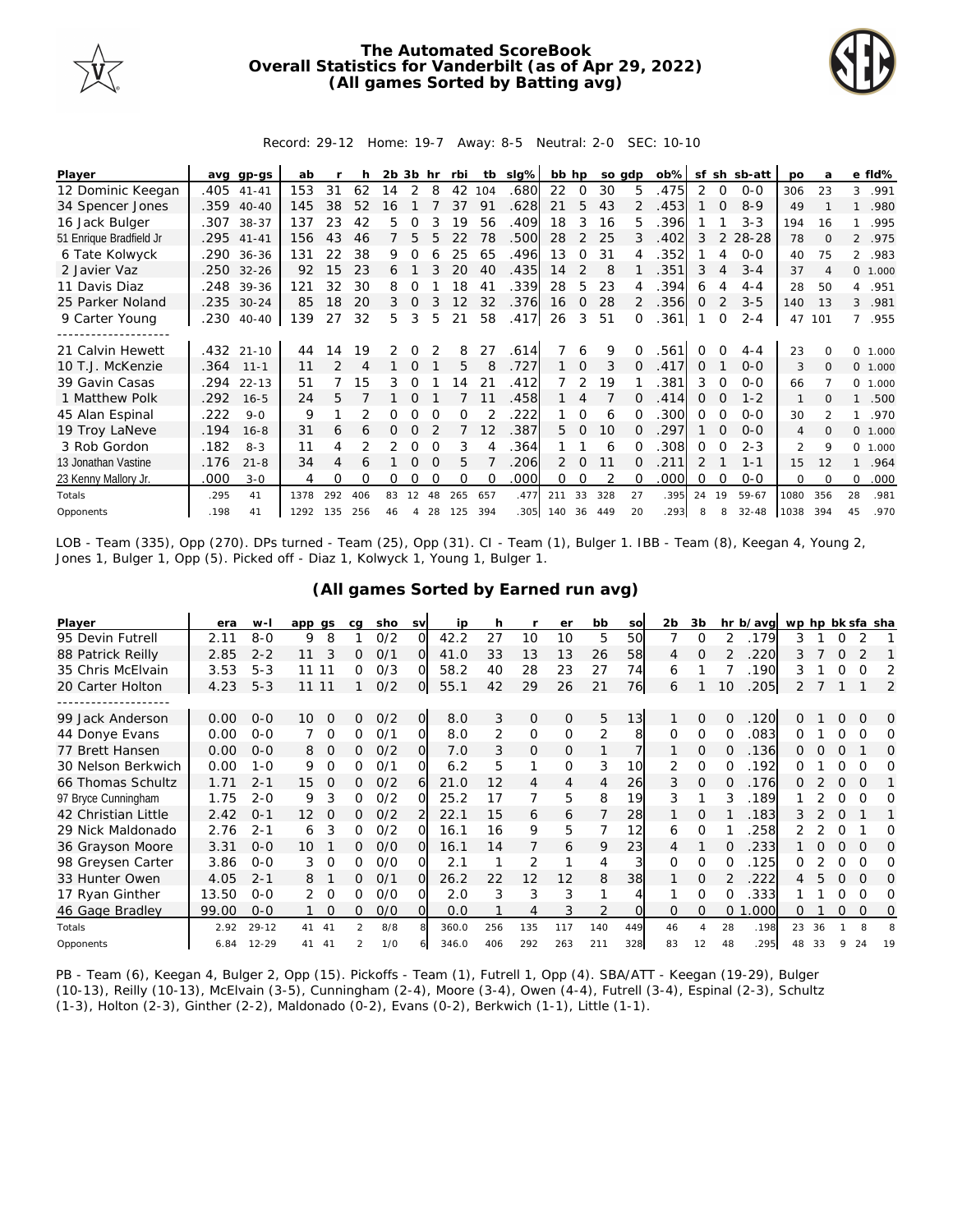

## **The Automated ScoreBook Overall Statistics for Vanderbilt (as of Apr 29, 2022) (All games Sorted by Batting avg)**



Record: 29-12 Home: 19-7 Away: 8-5 Neutral: 2-0 SEC: 10-10

| Player                  |      | avg gp-gs  | ab   |     | h   | $2b$ $3b$ hr |          |          | rbi      | tb       | slg% | bb hp |               | so gdp |              | $ob\%$ | sf            |          | sh sb-att | po             | a        |          | e fld%  |
|-------------------------|------|------------|------|-----|-----|--------------|----------|----------|----------|----------|------|-------|---------------|--------|--------------|--------|---------------|----------|-----------|----------------|----------|----------|---------|
| 12 Dominic Keegan       | .405 | $41 - 41$  | 153  | 31  | 62  | 14           | 2        | 8        | 42       | 104      | .680 | 22    | $\Omega$      | 30     | 5            | .475   | 2             | $\Omega$ | $0 - 0$   | 306            | 23       | 3        | .991    |
| 34 Spencer Jones        | .359 | $40 - 40$  | 145  | 38  | 52  | 6            |          |          | 37       | 91       | .628 | 21    | 5             | 43     |              | .453   |               | $\Omega$ | $8 - 9$   | 49             |          |          | .980    |
| 16 Jack Bulger          | .307 | $38 - 37$  | 137  | 23  | 42  | 5            | Ω        |          | 19       | 56       | .409 | 18    | 3             | 16     | 5.           | .396   |               |          | $3 - 3$   | 194            | 16       |          | .995    |
| 51 Enrique Bradfield Jr | .295 | $41 - 41$  | 156  | 43  | 46  |              | 5        | 5        | 22       | 78       | .500 | 28    | $\mathcal{L}$ | 25     | 3            | .402   | 3             | 2        | 28-28     | 78             | $\Omega$ |          | 2 .975  |
| 6 Tate Kolwyck          | .290 | $36 - 36$  | 131  | 22  | 38  | 9            |          |          | 25       | 65       | .496 | 13    | $\Omega$      | 31     |              | .352   |               | 4        | $O-O$     | 40             | 75       | 2        | .983    |
| 2 Javier Vaz            | .250 | $32 - 26$  | 92   | 15  | 23  | 6.           |          |          | 20       | 40       | .435 | 14    | 2             | 8      |              | 351    | 3             | 4        | $3 - 4$   | 37             | Δ        |          | 0 1.000 |
| 11 Davis Diaz           | .248 | 39-36      | 121  | 32  | 30  | 8            |          |          | 18       | 41       | .339 | 28    | 5             | 23     |              | .394   | 6             |          | $4 - 4$   | 28             | 50       | 4        | .951    |
| 25 Parker Noland        |      | .235 30-24 | 85   | 18  | 20  | 3            | $\Omega$ |          | 12       | 32       | .376 | 16    | $\Omega$      | 28     |              | .356   | $\Omega$      |          | $3 - 5$   | 140            | 13       | 3        | .981    |
| 9 Carter Young          | .230 | $40 - 40$  | 139  | 27  | 32  | 5            | 3        | 5        | 21       | 58       | .417 | 26    | 3             | 51     |              | .361   |               | $\Omega$ | $2 - 4$   | 47             | 101      | 7        | .955    |
|                         |      |            |      |     |     |              |          |          |          |          |      |       |               |        |              |        |               |          |           |                |          |          |         |
| 21 Calvin Hewett        |      | .432 21-10 | 44   | 14  | 19  | 2            |          |          | 8        | 27       | .614 |       | 6             | 9      |              | 561.   | 0             | ∩        | $4 - 4$   | 23             |          | $\Omega$ | 1.000   |
| 10 T.J. McKenzie        | .364 | $11 - 1$   | 11   |     | 4   |              | $\Omega$ |          | 5        | 8        | .727 |       | $\Omega$      | 3      | $\Omega$     | 417    | $\Omega$      |          | $0 - 0$   | 3              | $\Omega$ | $\circ$  | 1.000   |
| 39 Gavin Casas          | .294 | $22 - 13$  | 51   |     | 15  | 3            | $\Omega$ |          | 14       | 21       | .412 |       | 2             | 19     |              | .381   | 3             | $\Omega$ | $O-O$     | 66             |          | $\circ$  | 1.000   |
| 1 Matthew Polk          | .292 | $16 - 5$   | 24   | 5.  |     |              |          |          |          | 11       | .458 |       | 4             |        |              | .414   | 0             |          | $1 - 2$   | 1              | $\Omega$ |          | .500    |
| 45 Alan Espinal         | .222 | $9 - 0$    | 9    |     |     |              |          |          | $\Omega$ |          | 222  |       | $\Omega$      | 6      |              | 300    | O             |          | $O-O$     | 30             |          |          | .970    |
| 19 Troy LaNeve          | .194 | $16 - 8$   | 31   | 6   | 6   | 0            | 0        |          |          | 12       | .387 | 5.    | $\Omega$      | 10     | <sup>o</sup> | 297    |               | $\Omega$ | $O-O$     | $\overline{4}$ | $\Omega$ | $\Omega$ | 1.000   |
| 3 Rob Gordon            | .182 | $8 - 3$    | 11   | 4   |     | 2            | O        | $\Omega$ | 3        |          | .364 |       |               | 6      |              | .308   | 0             | $\Omega$ | $2 - 3$   | $\mathfrak{D}$ | 9        | $\Omega$ | 1.000   |
| 13 Jonathan Vastine     | .176 | $21 - 8$   | 34   | 4   | 6   |              | $\Omega$ | $\Omega$ | 5        |          | 206  | 2     | $\Omega$      | 11     |              | 211    | $\mathcal{P}$ |          | $1 - 1$   | 15             | 12       |          | .964    |
| 23 Kenny Mallory Jr.    | .000 | $3 - 0$    | 4    | Ω   | O   | 0            | Ω        | $\Omega$ | $\Omega$ | $\Omega$ | .000 | 0     | 0             |        | ∩            | .000   | Ω             | $\Omega$ | $0 - 0$   | $\Omega$       | $\Omega$ | $\Omega$ | .000    |
| Totals                  | .295 | 41         | 1378 | 292 | 406 | 83           | 12       | 48       | 265      | 657      | .477 | 211   | 33            | 328    | 27           | .395   | 24            | 19       | 59-67     | 1080           | 356      | 28       | .981    |
| Opponents               | .198 | 41         | 1292 | 135 | 256 | 46           | 4        | 28       | 125      | 394      | .305 | 140   | 36            | 449    | 20           | 293    | 8             | 8        | $32 - 48$ | 1038           | 394      | 45       | .970    |

LOB - Team (335), Opp (270). DPs turned - Team (25), Opp (31). CI - Team (1), Bulger 1. IBB - Team (8), Keegan 4, Young 2, Jones 1, Bulger 1, Opp (5). Picked off - Diaz 1, Kolwyck 1, Young 1, Bulger 1.

| Player              | era   | $W -$     | app qs         | ca       | sho | <b>SV</b>      | ip    | h   |               | er       | bb  | SO       | 2 <sub>b</sub> | 3b             |          | hr b/avg | wp hp bk sfa sha |    |          |          |          |
|---------------------|-------|-----------|----------------|----------|-----|----------------|-------|-----|---------------|----------|-----|----------|----------------|----------------|----------|----------|------------------|----|----------|----------|----------|
| 95 Devin Futrell    | 2.11  | $8 - 0$   | 8<br>9         |          | 0/2 | O              | 42.2  | 27  | 10            | 10       | 5   | 50       |                | $\Omega$       | 2        | .179     | 3                |    | 0        |          |          |
| 88 Patrick Reilly   | 2.85  | $2 - 2$   | 11             | 0        | 0/1 | Ω              | 41.0  | 33  | 13            | 13       | 26  | 58       | 4              | $\Omega$       |          | 220      |                  |    |          |          |          |
| 35 Chris McElvain   | 3.53  | $5 - 3$   | 11<br>11       | 0        | 0/3 | O              | 58.2  | 40  | 28            | 23       | 27  | 74       | 6              |                |          | 190      | 3                |    | O        | O        |          |
| 20 Carter Holton    | 4.23  | $5 - 3$   | 11 11          |          | O/2 | O              | 55.1  | 42  | 29            | 26       | 21  | 76       | 6              |                | 10       | .205     |                  |    |          |          | 2        |
|                     |       |           |                |          |     |                |       |     |               |          |     |          |                |                |          |          |                  |    |          |          |          |
| 99 Jack Anderson    | 0.00  | $0 - 0$   | $\Omega$<br>10 | $\Omega$ | O/2 | $\overline{O}$ | 8.0   | 3   | $\mathcal{O}$ | $\Omega$ | 5   | 13       | 1              | $\Omega$       | $\Omega$ | .120     | 0                |    | $\Omega$ | $\Omega$ | O        |
| 44 Donye Evans      | 0.00  | $0 - 0$   | $\Omega$       | Ω        | 0/1 | $\Omega$       | 8.0   | 2   | 0             | $\Omega$ | 2   | 8        | $\Omega$       | $\Omega$       | $\Omega$ | 083      | Ω                |    | O        | O        | Ω        |
| 77 Brett Hansen     | 0.00  | $O - O$   | 8<br>0         | 0        | 0/2 | Ω              | 7.0   | 3   | 0             | 0        |     |          |                | 0              | $\Omega$ | .136     | 0                |    | O        |          | 0        |
| 30 Nelson Berkwich  | 0.00  | $1 - 0$   | 9.<br>$\Omega$ | 0        | O/1 |                | 6.2   | 5   |               | O        | 3   | 10       | 2              | $\Omega$       | ∩        | .192     |                  |    |          |          | Ω        |
| 66 Thomas Schultz   | 1.71  | $2 - 1$   | 15<br>$\Omega$ | O        | 0/2 | 6              | 21.0  | 12  | 4             | 4        | 4   | 26       | 3              | $\Omega$       | O        | 176      | 0                |    | $\Omega$ | $\Omega$ |          |
| 97 Bryce Cunningham | 1.75  | $2 - 0$   | 3<br>9         | 0        | 0/2 | O              | 25.2  | 17  | 7             | 5        | 8   | 19       | 3              |                | 3        | 189      |                  |    | Ω        | $\Omega$ | Ω        |
| 42 Christian Little | 2.42  | $O - 1$   | 12<br>$\Omega$ | 0        | O/2 |                | 22.1  | 15  | 6             | 6        |     | 28       |                | $\Omega$       |          | .183     | 3                |    | $\Omega$ |          |          |
| 29 Nick Maldonado   | 2.76  | $2 - 1$   | 3<br>6         | 0        | 0/2 | Ω              | 16.1  | 16  | 9             | 5        |     | 12       | 6              | $\Omega$       |          | 258      |                  |    |          |          | Ω        |
| 36 Grayson Moore    | 3.31  | $O - O$   | 10             | 0        | O/O | Ω              | 16.1  | 14  | 7             | 6        | 9   | 23       | 4              |                |          | 233      |                  |    |          | $\Omega$ | $\Omega$ |
| 98 Greysen Carter   | 3.86  | $O - O$   | 3<br>$\Omega$  | 0        | 0/0 | ∩              | 2.1   |     | 2             |          | 4   | 3        | $\Omega$       | $\Omega$       | $\Omega$ | .125     | Ω                |    | 0        | Ω        | Ω        |
| 33 Hunter Owen      | 4.05  | $2 - 1$   | 8              | 0        | O/1 | $\Omega$       | 26.2  | 22  | 12            | 12       | 8   | 38       |                | $\Omega$       |          | 222      | 4                |    | $\Omega$ | $\Omega$ | $\Omega$ |
| 17 Ryan Ginther     | 13.50 | $O - O$   | $\Omega$       | Ω        | 0/0 |                | 2.0   | 3   | 3             | 3        |     |          |                | $\Omega$       | $\Omega$ | 333      |                  |    |          | Ω        | $\Omega$ |
| 46 Gage Bradley     | 99.00 | $O - O$   | $\Omega$       | O        | O/O | $\Omega$       | 0.0   |     | 4             | 3        | 2   | $\Omega$ | $\Omega$       | $\Omega$       | 0        | 000      | ი                |    |          | $\Omega$ | O        |
| Totals              | 2.92  | $29 - 12$ | -41<br>41      | 2        | 8/8 | 8              | 360.0 | 256 | 135           | 117      | 140 | 449      | 46             | $\overline{4}$ | 28       | .198     | 23               | 36 |          | 8        | 8        |
| Opponents           | 6.84  | $12 - 29$ | 41<br>-41      | 2        | 1/0 |                | 346.0 | 406 | 292           | 263      | 211 | 328      | 83             | 12             | 48       | 295      | 48               | 33 |          | 24       | 19       |

**(All games Sorted by Earned run avg)**

PB - Team (6), Keegan 4, Bulger 2, Opp (15). Pickoffs - Team (1), Futrell 1, Opp (4). SBA/ATT - Keegan (19-29), Bulger (10-13), Reilly (10-13), McElvain (3-5), Cunningham (2-4), Moore (3-4), Owen (4-4), Futrell (3-4), Espinal (2-3), Schultz (1-3), Holton (2-3), Ginther (2-2), Maldonado (0-2), Evans (0-2), Berkwich (1-1), Little (1-1).